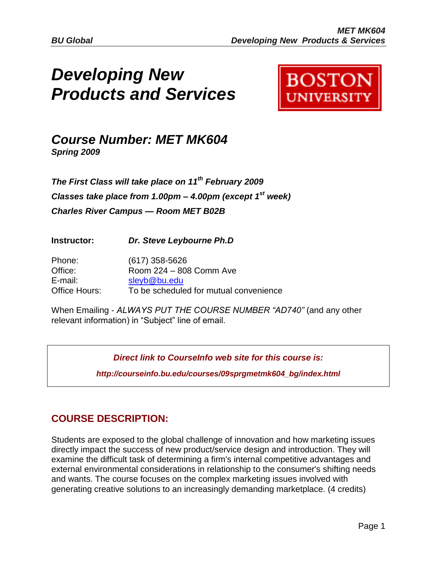# *Developing New Products and Services*



## *Course Number: MET MK604 Spring 2009*

*The First Class will take place on 11th February 2009 Classes take place from 1.00pm – 4.00pm (except 1st week) Charles River Campus — Room MET B02B*

**Instructor:** *Dr. Steve Leybourne Ph.D*

| Phone:        | $(617)$ 358-5626                       |
|---------------|----------------------------------------|
| Office:       | Room 224 - 808 Comm Ave                |
| E-mail:       | sleyb@bu.edu                           |
| Office Hours: | To be scheduled for mutual convenience |

When Emailing - *ALWAYS PUT THE COURSE NUMBER "AD740"* (and any other relevant information) in "Subject" line of email.

*Direct link to CourseInfo web site for this course is:*

*http://courseinfo.bu.edu/courses/09sprgmetmk604\_bg/index.html*

## **COURSE DESCRIPTION:**

Students are exposed to the global challenge of innovation and how marketing issues directly impact the success of new product/service design and introduction. They will examine the difficult task of determining a firm's internal competitive advantages and external environmental considerations in relationship to the consumer's shifting needs and wants. The course focuses on the complex marketing issues involved with generating creative solutions to an increasingly demanding marketplace. (4 credits)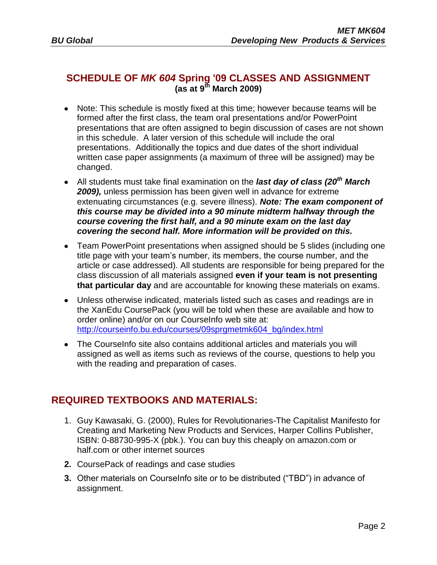### **SCHEDULE OF** *MK 604* **Spring '09 CLASSES AND ASSIGNMENT (as at 9 th March 2009)**

- Note: This schedule is mostly fixed at this time; however because teams will be formed after the first class, the team oral presentations and/or PowerPoint presentations that are often assigned to begin discussion of cases are not shown in this schedule. A later version of this schedule will include the oral presentations. Additionally the topics and due dates of the short individual written case paper assignments (a maximum of three will be assigned) may be changed.
- All students must take final examination on the *last day of class (20th March 2009),* unless permission has been given well in advance for extreme extenuating circumstances (e.g. severe illness). *Note: The exam component of this course may be divided into a 90 minute midterm halfway through the course covering the first half, and a 90 minute exam on the last day covering the second half. More information will be provided on this.*
- Team PowerPoint presentations when assigned should be 5 slides (including one title page with your team"s number, its members, the course number, and the article or case addressed). All students are responsible for being prepared for the class discussion of all materials assigned **even if your team is not presenting that particular day** and are accountable for knowing these materials on exams.
- Unless otherwise indicated, materials listed such as cases and readings are in the XanEdu CoursePack (you will be told when these are available and how to order online) and/or on our CourseInfo web site at: [http://courseinfo.bu.edu/courses/09sprgmetmk604\\_bg/index.html](http://courseinfo.bu.edu/courses/09sprgmetmk604_bg/index.html)
- The CourseInfo site also contains additional articles and materials you will assigned as well as items such as reviews of the course, questions to help you with the reading and preparation of cases.

## **REQUIRED TEXTBOOKS AND MATERIALS:**

- 1. Guy Kawasaki, G. (2000), Rules for Revolutionaries-The Capitalist Manifesto for Creating and Marketing New Products and Services, Harper Collins Publisher, ISBN: 0-88730-995-X (pbk.). You can buy this cheaply on amazon.com or half.com or other internet sources
- **2.** CoursePack of readings and case studies
- **3.** Other materials on CourseInfo site or to be distributed ("TBD") in advance of assignment.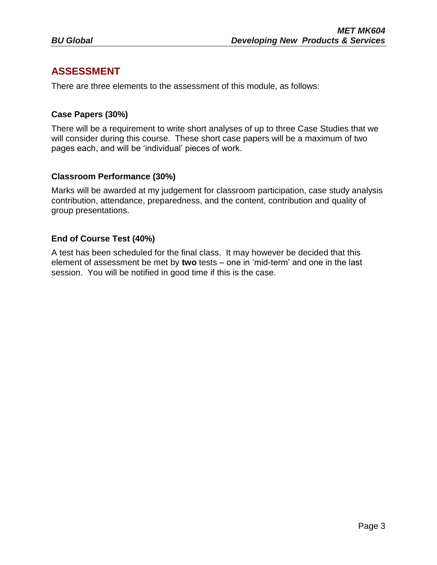## **ASSESSMENT**

There are three elements to the assessment of this module, as follows:

#### **Case Papers (30%)**

There will be a requirement to write short analyses of up to three Case Studies that we will consider during this course. These short case papers will be a maximum of two pages each, and will be "individual" pieces of work.

#### **Classroom Performance (30%)**

Marks will be awarded at my judgement for classroom participation, case study analysis contribution, attendance, preparedness, and the content, contribution and quality of group presentations.

#### **End of Course Test (40%)**

A test has been scheduled for the final class. It may however be decided that this element of assessment be met by **two** tests – one in "mid-term" and one in the last session. You will be notified in good time if this is the case.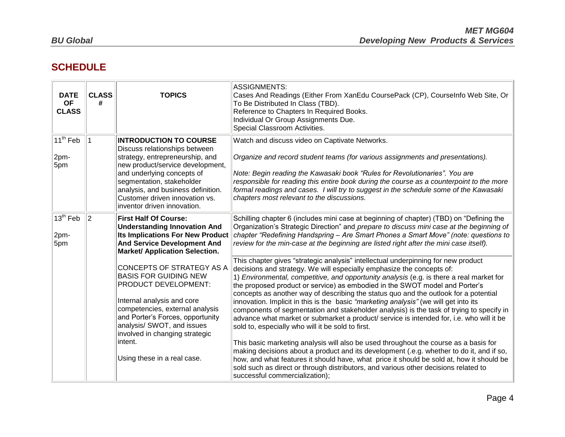## **SCHEDULE**

| <b>DATE</b><br><b>OF</b><br><b>CLASS</b> | <b>CLASS</b><br># | <b>TOPICS</b>                                                                                                                                                                                                                                                                                           | <b>ASSIGNMENTS:</b><br>Cases And Readings (Either From XanEdu CoursePack (CP), CourseInfo Web Site, Or<br>To Be Distributed In Class (TBD).<br>Reference to Chapters In Required Books.<br>Individual Or Group Assignments Due.<br>Special Classroom Activities.                                                                                                                                                                                                                                                                                                                                                                                                                                                                                                   |
|------------------------------------------|-------------------|---------------------------------------------------------------------------------------------------------------------------------------------------------------------------------------------------------------------------------------------------------------------------------------------------------|--------------------------------------------------------------------------------------------------------------------------------------------------------------------------------------------------------------------------------------------------------------------------------------------------------------------------------------------------------------------------------------------------------------------------------------------------------------------------------------------------------------------------------------------------------------------------------------------------------------------------------------------------------------------------------------------------------------------------------------------------------------------|
| 11 <sup>th</sup> Feb<br>2pm-<br>5pm      |                   | <b>INTRODUCTION TO COURSE</b><br>Discuss relationships between<br>strategy, entrepreneurship, and<br>new product/service development,<br>and underlying concepts of<br>segmentation, stakeholder<br>analysis, and business definition.<br>Customer driven innovation vs.<br>inventor driven innovation. | Watch and discuss video on Captivate Networks.<br>Organize and record student teams (for various assignments and presentations).<br>Note: Begin reading the Kawasaki book "Rules for Revolutionaries". You are<br>responsible for reading this entire book during the course as a counterpoint to the more<br>formal readings and cases. I will try to suggest in the schedule some of the Kawasaki<br>chapters most relevant to the discussions.                                                                                                                                                                                                                                                                                                                  |
| $13th$ Feb<br>2pm-<br>5pm                | 2                 | <b>First Half Of Course:</b><br><b>Understanding Innovation And</b><br><b>Its Implications For New Product</b><br><b>And Service Development And</b><br><b>Market/ Application Selection.</b>                                                                                                           | Schilling chapter 6 (includes mini case at beginning of chapter) (TBD) on "Defining the<br>Organization's Strategic Direction" and prepare to discuss mini case at the beginning of<br>chapter "Redefining Handspring - Are Smart Phones a Smart Move" (note: questions to<br>review for the min-case at the beginning are listed right after the mini case itself).                                                                                                                                                                                                                                                                                                                                                                                               |
|                                          |                   | CONCEPTS OF STRATEGY AS A<br><b>BASIS FOR GUIDING NEW</b><br>PRODUCT DEVELOPMENT:<br>Internal analysis and core<br>competencies, external analysis<br>and Porter's Forces, opportunity<br>analysis/ SWOT, and issues<br>involved in changing strategic                                                  | This chapter gives "strategic analysis" intellectual underpinning for new product<br>decisions and strategy. We will especially emphasize the concepts of:<br>1) Environmental, competitive, and opportunity analysis (e.g. is there a real market for<br>the proposed product or service) as embodied in the SWOT model and Porter's<br>concepts as another way of describing the status quo and the outlook for a potential<br>innovation. Implicit in this is the basic "marketing analysis" (we will get into its<br>components of segmentation and stakeholder analysis) is the task of trying to specify in<br>advance what market or submarket a product/ service is intended for, i.e. who will it be<br>sold to, especially who will it be sold to first. |
|                                          |                   | intent.<br>Using these in a real case.                                                                                                                                                                                                                                                                  | This basic marketing analysis will also be used throughout the course as a basis for<br>making decisions about a product and its development (.e.g. whether to do it, and if so,<br>how, and what features it should have, what price it should be sold at, how it should be<br>sold such as direct or through distributors, and various other decisions related to<br>successful commercialization);                                                                                                                                                                                                                                                                                                                                                              |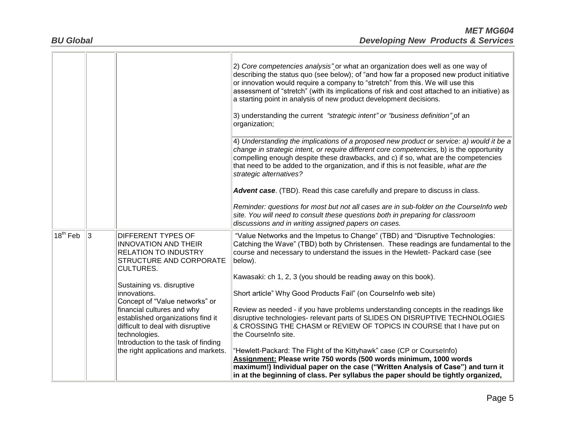|            |   |                                                                                                                                                              | 2) Core competencies analysis" or what an organization does well as one way of<br>describing the status quo (see below); of "and how far a proposed new product initiative<br>or innovation would require a company to "stretch" from this. We will use this<br>assessment of "stretch" (with its implications of risk and cost attached to an initiative) as<br>a starting point in analysis of new product development decisions.<br>3) understanding the current "strategic intent" or "business definition" of an<br>organization; |
|------------|---|--------------------------------------------------------------------------------------------------------------------------------------------------------------|----------------------------------------------------------------------------------------------------------------------------------------------------------------------------------------------------------------------------------------------------------------------------------------------------------------------------------------------------------------------------------------------------------------------------------------------------------------------------------------------------------------------------------------|
|            |   |                                                                                                                                                              | 4) Understanding the implications of a proposed new product or service: a) would it be a<br>change in strategic intent, or require different core competencies, b) is the opportunity<br>compelling enough despite these drawbacks, and c) if so, what are the competencies<br>that need to be added to the organization, and if this is not feasible, what are the<br>strategic alternatives?                                                                                                                                         |
|            |   |                                                                                                                                                              | <b>Advent case</b> . (TBD). Read this case carefully and prepare to discuss in class.                                                                                                                                                                                                                                                                                                                                                                                                                                                  |
|            |   |                                                                                                                                                              | Reminder: questions for most but not all cases are in sub-folder on the Courselnfo web<br>site. You will need to consult these questions both in preparing for classroom<br>discussions and in writing assigned papers on cases.                                                                                                                                                                                                                                                                                                       |
| $18th$ Feb | 3 | <b>DIFFERENT TYPES OF</b><br><b>INNOVATION AND THEIR</b><br><b>RELATION TO INDUSTRY</b><br><b>STRUCTURE AND CORPORATE</b><br><b>CULTURES.</b>                | "Value Networks and the Impetus to Change" (TBD) and "Disruptive Technologies:<br>Catching the Wave" (TBD) both by Christensen. These readings are fundamental to the<br>course and necessary to understand the issues in the Hewlett- Packard case (see<br>below).                                                                                                                                                                                                                                                                    |
|            |   |                                                                                                                                                              | Kawasaki: ch 1, 2, 3 (you should be reading away on this book).                                                                                                                                                                                                                                                                                                                                                                                                                                                                        |
|            |   | Sustaining vs. disruptive<br>innovations.<br>Concept of "Value networks" or                                                                                  | Short article" Why Good Products Fail" (on CourseInfo web site)                                                                                                                                                                                                                                                                                                                                                                                                                                                                        |
|            |   | financial cultures and why<br>established organizations find it<br>difficult to deal with disruptive<br>technologies.<br>Introduction to the task of finding | Review as needed - if you have problems understanding concepts in the readings like<br>disruptive technologies- relevant parts of SLIDES ON DISRUPTIVE TECHNOLOGIES<br>& CROSSING THE CHASM or REVIEW OF TOPICS IN COURSE that I have put on<br>the CourseInfo site.                                                                                                                                                                                                                                                                   |
|            |   | the right applications and markets.                                                                                                                          | "Hewlett-Packard: The Flight of the Kittyhawk" case (CP or Courselnfo)<br>Assignment: Please write 750 words (500 words minimum, 1000 words<br>maximum!) Individual paper on the case ("Written Analysis of Case") and turn it<br>in at the beginning of class. Per syllabus the paper should be tightly organized,                                                                                                                                                                                                                    |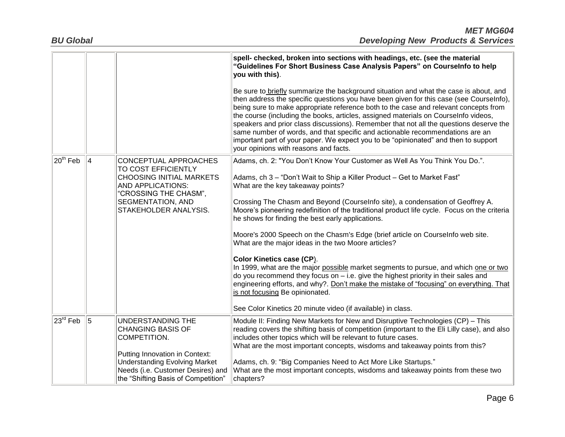|                       |   |                                                                                                                                                                                                                     | spell- checked, broken into sections with headings, etc. (see the material<br>"Guidelines For Short Business Case Analysis Papers" on Courselnfo to help<br>you with this).<br>Be sure to briefly summarize the background situation and what the case is about, and<br>then address the specific questions you have been given for this case (see CourseInfo),<br>being sure to make appropriate reference both to the case and relevant concepts from<br>the course (including the books, articles, assigned materials on CourseInfo videos,<br>speakers and prior class discussions). Remember that not all the questions deserve the<br>same number of words, and that specific and actionable recommendations are an                                                                                                                                                                                                                                                           |
|-----------------------|---|---------------------------------------------------------------------------------------------------------------------------------------------------------------------------------------------------------------------|-------------------------------------------------------------------------------------------------------------------------------------------------------------------------------------------------------------------------------------------------------------------------------------------------------------------------------------------------------------------------------------------------------------------------------------------------------------------------------------------------------------------------------------------------------------------------------------------------------------------------------------------------------------------------------------------------------------------------------------------------------------------------------------------------------------------------------------------------------------------------------------------------------------------------------------------------------------------------------------|
|                       |   |                                                                                                                                                                                                                     | important part of your paper. We expect you to be "opinionated" and then to support<br>your opinions with reasons and facts.                                                                                                                                                                                                                                                                                                                                                                                                                                                                                                                                                                                                                                                                                                                                                                                                                                                        |
| $ 20^{\text{th}}$ Feb | 4 | CONCEPTUAL APPROACHES<br>TO COST EFFICIENTLY<br><b>CHOOSING INITIAL MARKETS</b><br>AND APPLICATIONS:<br>"CROSSING THE CHASM",<br>SEGMENTATION, AND<br>STAKEHOLDER ANALYSIS.                                         | Adams, ch. 2: "You Don't Know Your Customer as Well As You Think You Do.".<br>Adams, ch 3 - "Don't Wait to Ship a Killer Product - Get to Market Fast"<br>What are the key takeaway points?<br>Crossing The Chasm and Beyond (CourseInfo site), a condensation of Geoffrey A.<br>Moore's pioneering redefinition of the traditional product life cycle. Focus on the criteria<br>he shows for finding the best early applications.<br>Moore's 2000 Speech on the Chasm's Edge (brief article on Courselnfo web site.<br>What are the major ideas in the two Moore articles?<br>Color Kinetics case (CP).<br>In 1999, what are the major possible market segments to pursue, and which one or two<br>do you recommend they focus on - i.e. give the highest priority in their sales and<br>engineering efforts, and why?. Don't make the mistake of "focusing" on everything. That<br>is not focusing Be opinionated.<br>See Color Kinetics 20 minute video (if available) in class. |
| 23 <sup>rd</sup> Feb  | 5 | UNDERSTANDING THE<br><b>CHANGING BASIS OF</b><br>COMPETITION.<br>Putting Innovation in Context:<br><b>Understanding Evolving Market</b><br>Needs (i.e. Customer Desires) and<br>the "Shifting Basis of Competition" | Module II: Finding New Markets for New and Disruptive Technologies (CP) – This<br>reading covers the shifting basis of competition (important to the Eli Lilly case), and also<br>includes other topics which will be relevant to future cases.<br>What are the most important concepts, wisdoms and takeaway points from this?<br>Adams, ch. 9: "Big Companies Need to Act More Like Startups."<br>What are the most important concepts, wisdoms and takeaway points from these two<br>chapters?                                                                                                                                                                                                                                                                                                                                                                                                                                                                                   |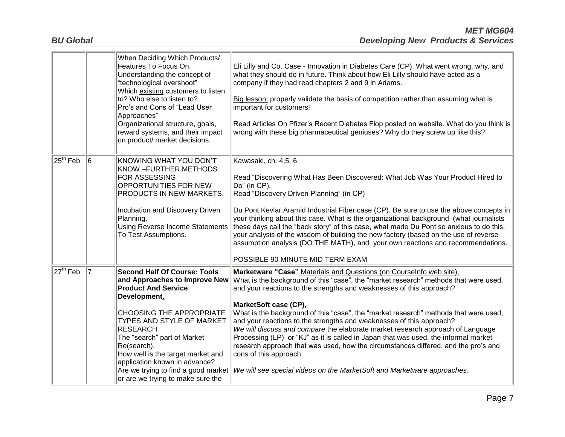|                       |                | When Deciding Which Products/<br>Features To Focus On.<br>Understanding the concept of<br>"technological overshoot"<br>Which existing customers to listen<br>to? Who else to listen to?<br>Pro's and Cons of "Lead User<br>Approaches"<br>Organizational structure, goals,<br>reward systems, and their impact<br>on product/ market decisions.                       | Eli Lilly and Co. Case - Innovation in Diabetes Care (CP). What went wrong, why, and<br>what they should do in future. Think about how Eli Lilly should have acted as a<br>company if they had read chapters 2 and 9 in Adams.<br>Big lesson: properly validate the basis of competition rather than assuming what is<br>important for customers!<br>Read Articles On Pfizer's Recent Diabetes Flop posted on website. What do you think is<br>wrong with these big pharmaceutical geniuses? Why do they screw up like this?                                                                                                                                                                                                                                                                                                         |
|-----------------------|----------------|-----------------------------------------------------------------------------------------------------------------------------------------------------------------------------------------------------------------------------------------------------------------------------------------------------------------------------------------------------------------------|--------------------------------------------------------------------------------------------------------------------------------------------------------------------------------------------------------------------------------------------------------------------------------------------------------------------------------------------------------------------------------------------------------------------------------------------------------------------------------------------------------------------------------------------------------------------------------------------------------------------------------------------------------------------------------------------------------------------------------------------------------------------------------------------------------------------------------------|
| $25^{\text{th}}$ Feb  | 6              | KNOWING WHAT YOU DON'T<br>KNOW - FURTHER METHODS<br><b>FOR ASSESSING</b><br>OPPORTUNITIES FOR NEW<br>PRODUCTS IN NEW MARKETS.<br>Incubation and Discovery Driven<br>Planning.<br>Using Reverse Income Statements<br>To Test Assumptions.                                                                                                                              | Kawasaki, ch. 4,5, 6<br>Read "Discovering What Has Been Discovered: What Job Was Your Product Hired to<br>Do" (in CP).<br>Read "Discovery Driven Planning" (in CP)<br>Du Pont Kevlar Aramid Industrial Fiber case (CP). Be sure to use the above concepts in<br>your thinking about this case. What is the organizational background (what journalists<br>these days call the "back story" of this case, what made Du Pont so anxious to do this,<br>your analysis of the wisdom of building the new factory (based on the use of reverse<br>assumption analysis (DO THE MATH), and your own reactions and recommendations.<br>POSSIBLE 90 MINUTE MID TERM EXAM                                                                                                                                                                      |
| $ 27^{\text{th}}$ Feb | $\overline{7}$ | <b>Second Half Of Course: Tools</b><br>and Approaches to Improve New<br><b>Product And Service</b><br>Development.<br><b>CHOOSING THE APPROPRIATE</b><br><b>TYPES AND STYLE OF MARKET</b><br><b>RESEARCH</b><br>The "search" part of Market<br>Re(search).<br>How well is the target market and<br>application known in advance?<br>or are we trying to make sure the | Marketware "Case" Materials and Questions (on Courselnfo web site),<br>What is the background of this "case", the "market research" methods that were used,<br>and your reactions to the strengths and weaknesses of this approach?<br>MarketSoft case (CP),<br>What is the background of this "case", the "market research" methods that were used,<br>and your reactions to the strengths and weaknesses of this approach?<br>We will discuss and compare the elaborate market research approach of Language<br>Processing (LP) or "KJ" as it is called in Japan that was used, the informal market<br>research approach that was used, how the circumstances differed, and the pro's and<br>cons of this approach.<br>Are we trying to find a good market We will see special videos on the MarketSoft and Marketware approaches. |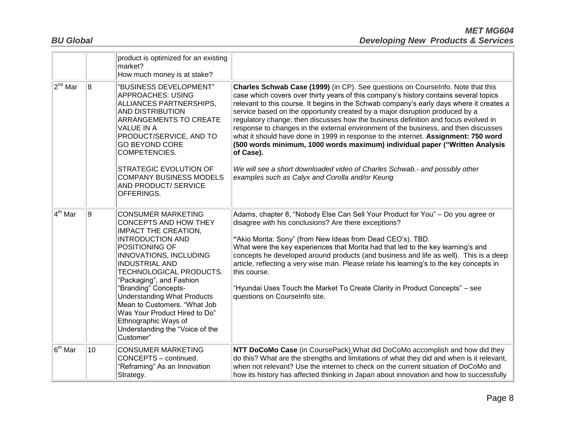|                     |                | product is optimized for an existing<br>market?<br>How much money is at stake?                                                                                                                                                                                                                                                                                                                                                                         |                                                                                                                                                                                                                                                                                                                                                                                                                                                                                                                                                                                                                                                                                                                                                                                                                                                        |
|---------------------|----------------|--------------------------------------------------------------------------------------------------------------------------------------------------------------------------------------------------------------------------------------------------------------------------------------------------------------------------------------------------------------------------------------------------------------------------------------------------------|--------------------------------------------------------------------------------------------------------------------------------------------------------------------------------------------------------------------------------------------------------------------------------------------------------------------------------------------------------------------------------------------------------------------------------------------------------------------------------------------------------------------------------------------------------------------------------------------------------------------------------------------------------------------------------------------------------------------------------------------------------------------------------------------------------------------------------------------------------|
| $2^{nd}$ Mar        | $\overline{8}$ | "BUSINESS DEVELOPMENT"<br><b>APPROACHES: USING</b><br>ALLIANCES PARTNERSHIPS,<br>AND DISTRIBUTION<br>ARRANGEMENTS TO CREATE<br><b>VALUE IN A</b><br>PRODUCT/SERVICE, AND TO<br><b>GO BEYOND CORE</b><br>COMPETENCIES.<br>STRATEGIC EVOLUTION OF<br><b>COMPANY BUSINESS MODELS</b><br>AND PRODUCT/ SERVICE<br>OFFERINGS.                                                                                                                                | Charles Schwab Case (1999) (in CP). See questions on Courselnfo. Note that this<br>case which covers over thirty years of this company's history contains several topics<br>relevant to this course. It begins in the Schwab company's early days where it creates a<br>service based on the opportunity created by a major disruption produced by a<br>regulatory change; then discusses how the business definition and focus evolved in<br>response to changes in the external environment of the business, and then discusses<br>what it should have done in 1999 in response to the internet. Assignment: 750 word<br>(500 words minimum, 1000 words maximum) individual paper ("Written Analysis<br>of Case).<br>We will see a short downloaded video of Charles Schwab.- and possibly other<br>examples such as Calyx and Corolla and/or Keurig |
| $4^{\text{th}}$ Mar | 9              | <b>CONSUMER MARKETING</b><br>CONCEPTS AND HOW THEY<br><b>IMPACT THE CREATION.</b><br><b>INTRODUCTION AND</b><br>POSITIONING OF<br><b>INNOVATIONS, INCLUDING</b><br><b>INDUSTRIAL AND</b><br>TECHNOLOGICAL PRODUCTS.<br>"Packaging", and Fashion<br>"Branding" Concepts-<br><b>Understanding What Products</b><br>Mean to Customers. "What Job<br>Was Your Product Hired to Do"<br>Ethnographic Ways of<br>Understanding the "Voice of the<br>Customer" | Adams, chapter 8, "Nobody Else Can Sell Your Product for You" - Do you agree or<br>disagree with his conclusions? Are there exceptions?<br>"Akio Morita: Sony" (from New Ideas from Dead CEO's). TBD.<br>What were the key experiences that Morita had that led to the key learning's and<br>concepts he developed around products (and business and life as well). This is a deep<br>article, reflecting a very wise man. Please relate his learning's to the key concepts in<br>this course.<br>"Hyundai Uses Touch the Market To Create Clarity in Product Concepts" - see<br>questions on CourseInfo site.                                                                                                                                                                                                                                         |
| $6th$ Mar           | 10             | <b>CONSUMER MARKETING</b><br>CONCEPTS - continued.<br>"Reframing" As an Innovation<br>Strategy.                                                                                                                                                                                                                                                                                                                                                        | NTT DoCoMo Case (in CoursePack) What did DoCoMo accomplish and how did they<br>do this? What are the strengths and limitations of what they did and when is it relevant,<br>when not relevant? Use the internet to check on the current situation of DoCoMo and<br>how its history has affected thinking in Japan about innovation and how to successfully                                                                                                                                                                                                                                                                                                                                                                                                                                                                                             |